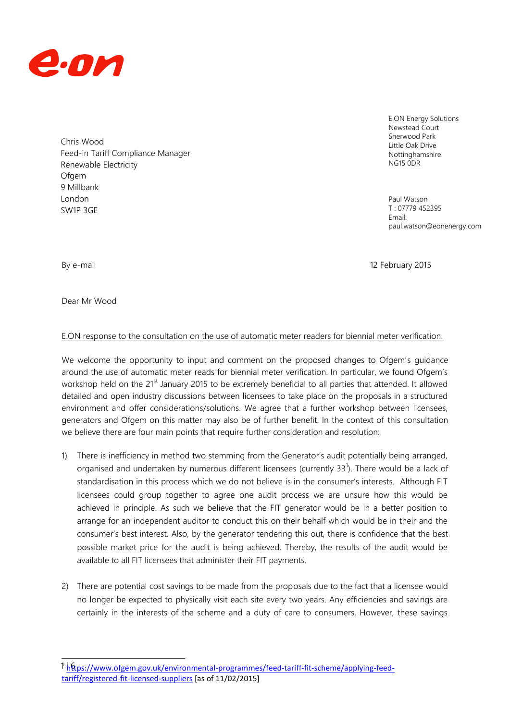

Chris Wood Feed-in Tariff Compliance Manager Renewable Electricity **Ofgem** 9 Millbank London SW1P 3GE

E.ON Energy Solutions Newstead Court Sherwood Park Little Oak Drive Nottinghamshire NG15 0DR

Paul Watson T : 07779 452395 Email: paul.watson@eonenergy.com

1

By e-mail 2015 and 2015 and 2015 and 2016 and 2016 and 2016 and 2016 and 2016 and 2016 and 2016 and 2016 and 2016 and 2016 and 2016 and 2016 and 2016 and 2016 and 2016 and 2016 and 2016 and 2016 and 2016 and 2016 and 2016

Dear Mr Wood

## E.ON response to the consultation on the use of automatic meter readers for biennial meter verification.

We welcome the opportunity to input and comment on the proposed changes to Ofgem's guidance around the use of automatic meter reads for biennial meter verification. In particular, we found Ofgem's workshop held on the 21<sup>st</sup> January 2015 to be extremely beneficial to all parties that attended. It allowed detailed and open industry discussions between licensees to take place on the proposals in a structured environment and offer considerations/solutions. We agree that a further workshop between licensees, generators and Ofgem on this matter may also be of further benefit. In the context of this consultation we believe there are four main points that require further consideration and resolution:

- 1) There is inefficiency in method two stemming from the Generator's audit potentially being arranged, organised and undertaken by numerous different licensees (currently 33 $^1$ ). There would be a lack of standardisation in this process which we do not believe is in the consumer's interests. Although FIT licensees could group together to agree one audit process we are unsure how this would be achieved in principle. As such we believe that the FIT generator would be in a better position to arrange for an independent auditor to conduct this on their behalf which would be in their and the consumer's best interest. Also, by the generator tendering this out, there is confidence that the best possible market price for the audit is being achieved. Thereby, the results of the audit would be available to all FIT licensees that administer their FIT payments.
- 2) There are potential cost savings to be made from the proposals due to the fact that a licensee would no longer be expected to physically visit each site every two years. Any efficiencies and savings are certainly in the interests of the scheme and a duty of care to consumers. However, these savings

<sup>&</sup>lt;u>1 h&ps://www.ofgem.gov.uk/environmental-programmes/feed-tariff-fit-scheme/applying-feed-</u> [tariff/registered-fit-licensed-suppliers](https://www.ofgem.gov.uk/environmental-programmes/feed-tariff-fit-scheme/applying-feed-tariff/registered-fit-licensed-suppliers) [as of 11/02/2015]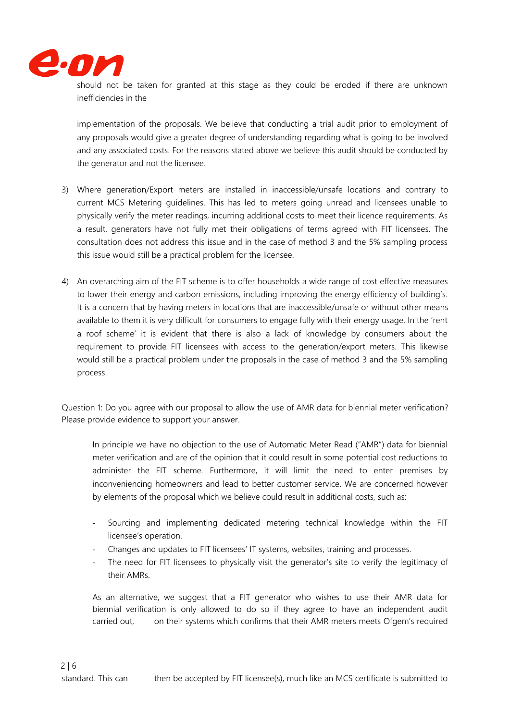

should not be taken for granted at this stage as they could be eroded if there are unknown inefficiencies in the

implementation of the proposals. We believe that conducting a trial audit prior to employment of any proposals would give a greater degree of understanding regarding what is going to be involved and any associated costs. For the reasons stated above we believe this audit should be conducted by the generator and not the licensee.

- 3) Where generation/Export meters are installed in inaccessible/unsafe locations and contrary to current MCS Metering guidelines. This has led to meters going unread and licensees unable to physically verify the meter readings, incurring additional costs to meet their licence requirements. As a result, generators have not fully met their obligations of terms agreed with FIT licensees. The consultation does not address this issue and in the case of method 3 and the 5% sampling process this issue would still be a practical problem for the licensee.
- 4) An overarching aim of the FIT scheme is to offer households a wide range of cost effective measures to lower their energy and carbon emissions, including improving the energy efficiency of building's. It is a concern that by having meters in locations that are inaccessible/unsafe or without other means available to them it is very difficult for consumers to engage fully with their energy usage. In the 'rent a roof scheme' it is evident that there is also a lack of knowledge by consumers about the requirement to provide FIT licensees with access to the generation/export meters. This likewise would still be a practical problem under the proposals in the case of method 3 and the 5% sampling process.

Question 1: Do you agree with our proposal to allow the use of AMR data for biennial meter verification? Please provide evidence to support your answer.

In principle we have no objection to the use of Automatic Meter Read ("AMR") data for biennial meter verification and are of the opinion that it could result in some potential cost reductions to administer the FIT scheme. Furthermore, it will limit the need to enter premises by inconveniencing homeowners and lead to better customer service. We are concerned however by elements of the proposal which we believe could result in additional costs, such as:

- Sourcing and implementing dedicated metering technical knowledge within the FIT licensee's operation.
- Changes and updates to FIT licensees' IT systems, websites, training and processes.
- The need for FIT licensees to physically visit the generator's site to verify the legitimacy of their AMRs.

As an alternative, we suggest that a FIT generator who wishes to use their AMR data for biennial verification is only allowed to do so if they agree to have an independent audit carried out, on their systems which confirms that their AMR meters meets Ofgem's required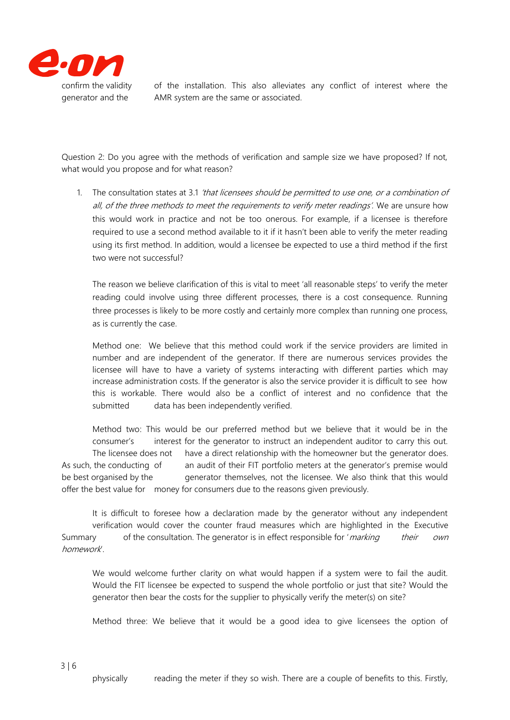

confirm the validity of the installation. This also alleviates any conflict of interest where the generator and the AMR system are the same or associated.

Question 2: Do you agree with the methods of verification and sample size we have proposed? If not, what would you propose and for what reason?

1. The consultation states at 3.1 'that licensees should be permitted to use one, or a combination of all, of the three methods to meet the requirements to verify meter readings'. We are unsure how this would work in practice and not be too onerous. For example, if a licensee is therefore required to use a second method available to it if it hasn't been able to verify the meter reading using its first method. In addition, would a licensee be expected to use a third method if the first two were not successful?

The reason we believe clarification of this is vital to meet 'all reasonable steps' to verify the meter reading could involve using three different processes, there is a cost consequence. Running three processes is likely to be more costly and certainly more complex than running one process, as is currently the case.

Method one: We believe that this method could work if the service providers are limited in number and are independent of the generator. If there are numerous services provides the licensee will have to have a variety of systems interacting with different parties which may increase administration costs. If the generator is also the service provider it is difficult to see how this is workable. There would also be a conflict of interest and no confidence that the submitted data has been independently verified.

Method two: This would be our preferred method but we believe that it would be in the consumer's interest for the generator to instruct an independent auditor to carry this out. The licensee does not have a direct relationship with the homeowner but the generator does. As such, the conducting of an audit of their FIT portfolio meters at the generator's premise would be best organised by the generator themselves, not the licensee. We also think that this would offer the best value for money for consumers due to the reasons given previously.

It is difficult to foresee how a declaration made by the generator without any independent verification would cover the counter fraud measures which are highlighted in the Executive Summary of the consultation. The generator is in effect responsible for '*marking their own* homework'.

We would welcome further clarity on what would happen if a system were to fail the audit. Would the FIT licensee be expected to suspend the whole portfolio or just that site? Would the generator then bear the costs for the supplier to physically verify the meter(s) on site?

Method three: We believe that it would be a good idea to give licensees the option of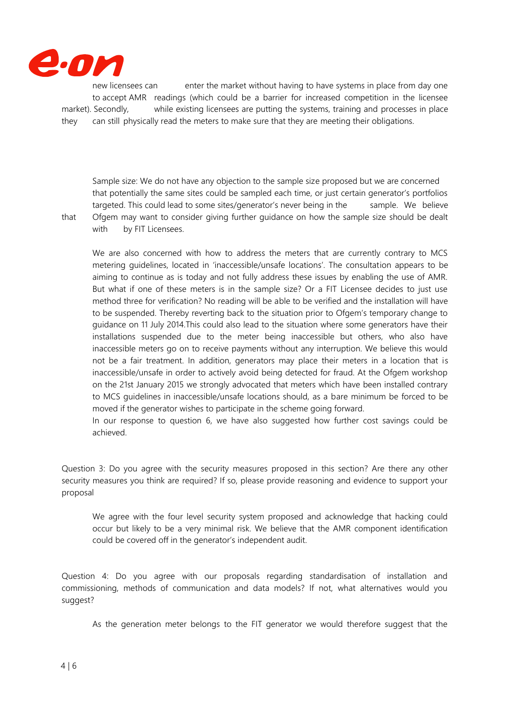

new licensees can enter the market without having to have systems in place from day one to accept AMR readings (which could be a barrier for increased competition in the licensee market). Secondly, while existing licensees are putting the systems, training and processes in place they can still physically read the meters to make sure that they are meeting their obligations.

Sample size: We do not have any objection to the sample size proposed but we are concerned that potentially the same sites could be sampled each time, or just certain generator's portfolios targeted. This could lead to some sites/generator's never being in the sample. We believe that Ofgem may want to consider giving further guidance on how the sample size should be dealt with by FIT Licensees.

We are also concerned with how to address the meters that are currently contrary to MCS metering guidelines, located in 'inaccessible/unsafe locations'. The consultation appears to be aiming to continue as is today and not fully address these issues by enabling the use of AMR. But what if one of these meters is in the sample size? Or a FIT Licensee decides to just use method three for verification? No reading will be able to be verified and the installation will have to be suspended. Thereby reverting back to the situation prior to Ofgem's temporary change to guidance on 11 July 2014.This could also lead to the situation where some generators have their installations suspended due to the meter being inaccessible but others, who also have inaccessible meters go on to receive payments without any interruption. We believe this would not be a fair treatment. In addition, generators may place their meters in a location that is inaccessible/unsafe in order to actively avoid being detected for fraud. At the Ofgem workshop on the 21st January 2015 we strongly advocated that meters which have been installed contrary to MCS guidelines in inaccessible/unsafe locations should, as a bare minimum be forced to be moved if the generator wishes to participate in the scheme going forward.

In our response to question 6, we have also suggested how further cost savings could be achieved.

Question 3: Do you agree with the security measures proposed in this section? Are there any other security measures you think are required? If so, please provide reasoning and evidence to support your proposal

We agree with the four level security system proposed and acknowledge that hacking could occur but likely to be a very minimal risk. We believe that the AMR component identification could be covered off in the generator's independent audit.

Question 4: Do you agree with our proposals regarding standardisation of installation and commissioning, methods of communication and data models? If not, what alternatives would you suggest?

As the generation meter belongs to the FIT generator we would therefore suggest that the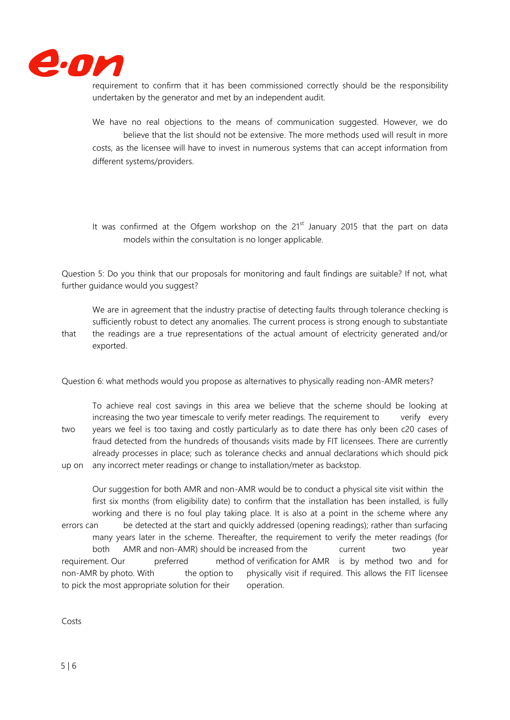

requirement to confirm that it has been commissioned correctly should be the responsibility undertaken by the generator and met by an independent audit.

We have no real objections to the means of communication suggested. However, we do believe that the list should not be extensive. The more methods used will result in more costs, as the licensee will have to invest in numerous systems that can accept information from different systems/providers.

It was confirmed at the Ofgem workshop on the  $21<sup>st</sup>$  January 2015 that the part on data models within the consultation is no longer applicable.

Question 5: Do you think that our proposals for monitoring and fault findings are suitable? If not, what further guidance would you suggest?

We are in agreement that the industry practise of detecting faults through tolerance checking is sufficiently robust to detect any anomalies. The current process is strong enough to substantiate that the readings are a true representations of the actual amount of electricity generated and/or exported.

Question 6: what methods would you propose as alternatives to physically reading non-AMR meters?

To achieve real cost savings in this area we believe that the scheme should be looking at increasing the two year timescale to verify meter readings. The requirement to verify every two years we feel is too taxing and costly particularly as to date there has only been c20 cases of fraud detected from the hundreds of thousands visits made by FIT licensees. There are currently already processes in place; such as tolerance checks and annual declarations which should pick up on any incorrect meter readings or change to installation/meter as backstop.

Our suggestion for both AMR and non-AMR would be to conduct a physical site visit within the first six months (from eligibility date) to confirm that the installation has been installed, is fully working and there is no foul play taking place. It is also at a point in the scheme where any errors can be detected at the start and quickly addressed (opening readings); rather than surfacing many years later in the scheme. Thereafter, the requirement to verify the meter readings (for both AMR and non-AMR) should be increased from the current two year requirement. Our preferred method of verification for AMR is by method two and for non-AMR by photo. With the option to physically visit if required. This allows the FIT licensee to pick the most appropriate solution for their operation.

Costs